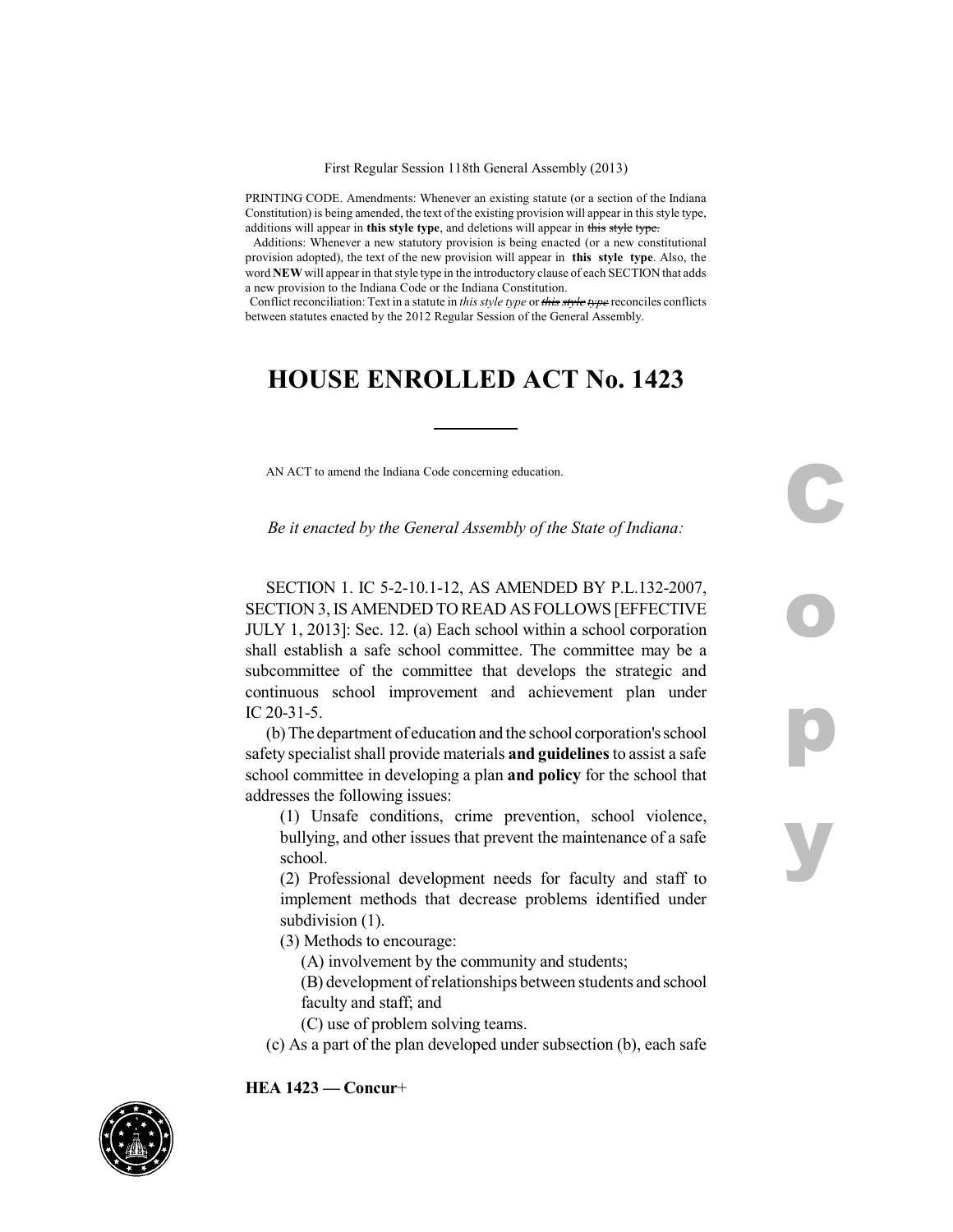PRINTING CODE. Amendments: Whenever an existing statute (or a section of the Indiana Constitution) is being amended, the text of the existing provision will appear in this style type, additions will appear in **this style type**, and deletions will appear in this style type.

Additions: Whenever a new statutory provision is being enacted (or a new constitutional provision adopted), the text of the new provision will appear in **this style type**. Also, the word **NEW** will appear in that style type in the introductory clause of each SECTION that adds a new provision to the Indiana Code or the Indiana Constitution.

Conflict reconciliation: Text in a statute in *this style type* or *this style type* reconciles conflicts between statutes enacted by the 2012 Regular Session of the General Assembly.

## **HOUSE ENROLLED ACT No. 1423**

AN ACT to amend the Indiana Code concerning education.

*Be it enacted by the General Assembly of the State of Indiana:*

**C**

**o**

**p**

**y**

SECTION 1. IC 5-2-10.1-12, AS AMENDED BY P.L.132-2007, SECTION 3,IS AMENDED TO READ AS FOLLOWS [EFFECTIVE JULY 1, 2013]: Sec. 12. (a) Each school within a school corporation shall establish a safe school committee. The committee may be a subcommittee of the committee that develops the strategic and continuous school improvement and achievement plan under IC 20-31-5.

(b) The department of education and the school corporation's school safety specialistshall provide materials **and guidelines**to assist a safe school committee in developing a plan **and policy** for the school that addresses the following issues:

(1) Unsafe conditions, crime prevention, school violence, bullying, and other issues that prevent the maintenance of a safe school.

(2) Professional development needs for faculty and staff to implement methods that decrease problems identified under subdivision  $(1)$ .

(3) Methods to encourage:

- (A) involvement by the community and students;
- (B) development ofrelationships between students and school faculty and staff; and
- (C) use of problem solving teams.
- (c) As a part of the plan developed under subsection (b), each safe

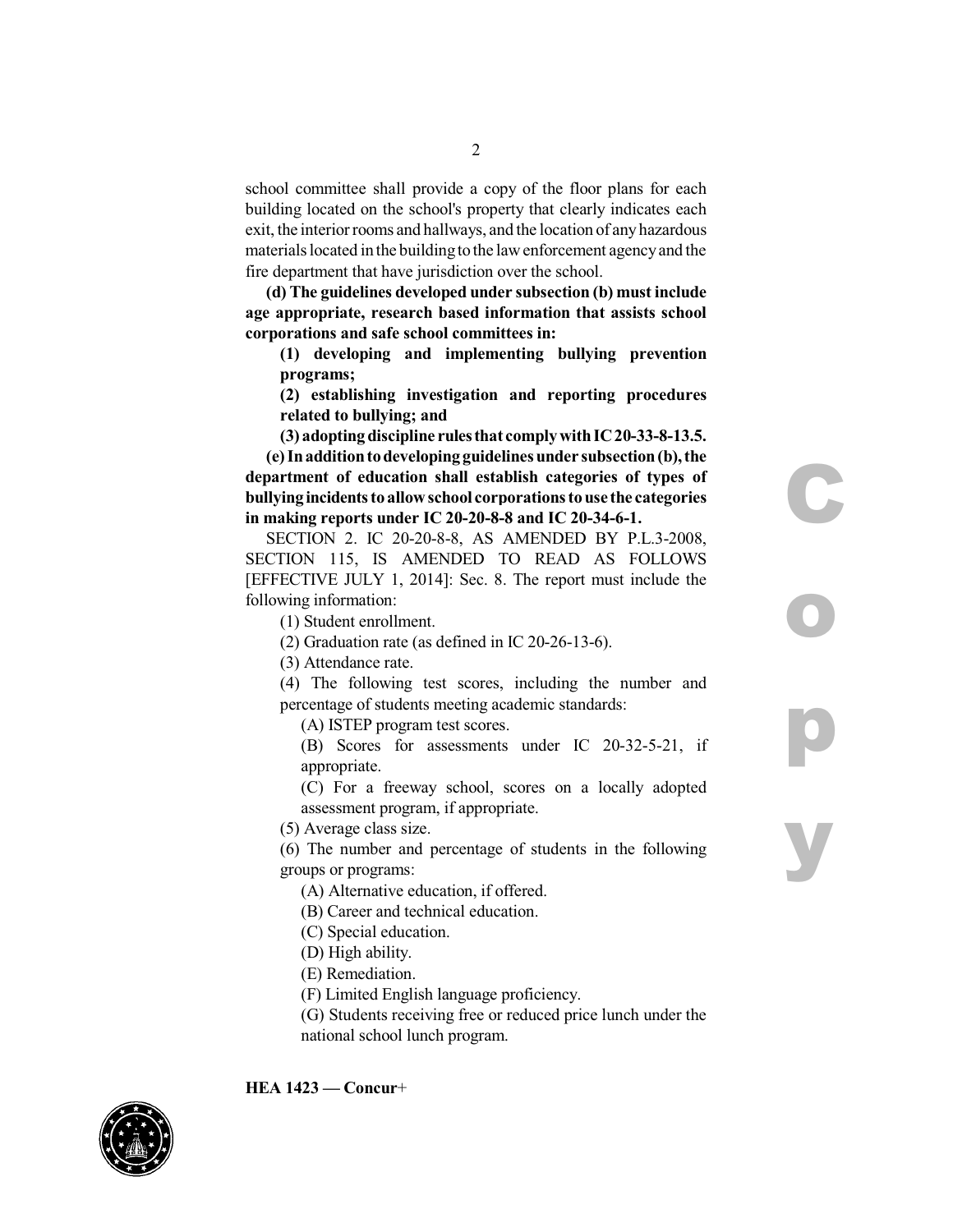school committee shall provide a copy of the floor plans for each building located on the school's property that clearly indicates each exit, the interior rooms and hallways, and the location of anyhazardous materials located in the building to the law enforcement agency and the fire department that have jurisdiction over the school.

**(d) The guidelines developed under subsection (b) must include age appropriate, research based information that assists school corporations and safe school committees in:**

**(1) developing and implementing bullying prevention programs;**

**(2) establishing investigation and reporting procedures related to bullying; and**

**C**

**o**

**p**

**y**

**(3) adopting discipline rulesthat complywithIC20-33-8-13.5. (e) Inadditiontodeveloping guidelinesunder subsection(b),the department of education shall establish categories of types of bullyingincidents to allowschool corporations touse the categories in making reports under IC 20-20-8-8 and IC 20-34-6-1.**

SECTION 2. IC 20-20-8-8, AS AMENDED BY P.L.3-2008, SECTION 115, IS AMENDED TO READ AS FOLLOWS [EFFECTIVE JULY 1, 2014]: Sec. 8. The report must include the following information:

(1) Student enrollment.

(2) Graduation rate (as defined in IC 20-26-13-6).

(3) Attendance rate.

(4) The following test scores, including the number and percentage of students meeting academic standards:

(A) ISTEP program test scores.

(B) Scores for assessments under IC 20-32-5-21, if appropriate.

(C) For a freeway school, scores on a locally adopted assessment program, if appropriate.

(5) Average class size.

(6) The number and percentage of students in the following groups or programs:

- (A) Alternative education, if offered.
- (B) Career and technical education.
- (C) Special education.
- (D) High ability.
- (E) Remediation.
- (F) Limited English language proficiency.
- (G) Students receiving free or reduced price lunch under the national school lunch program.

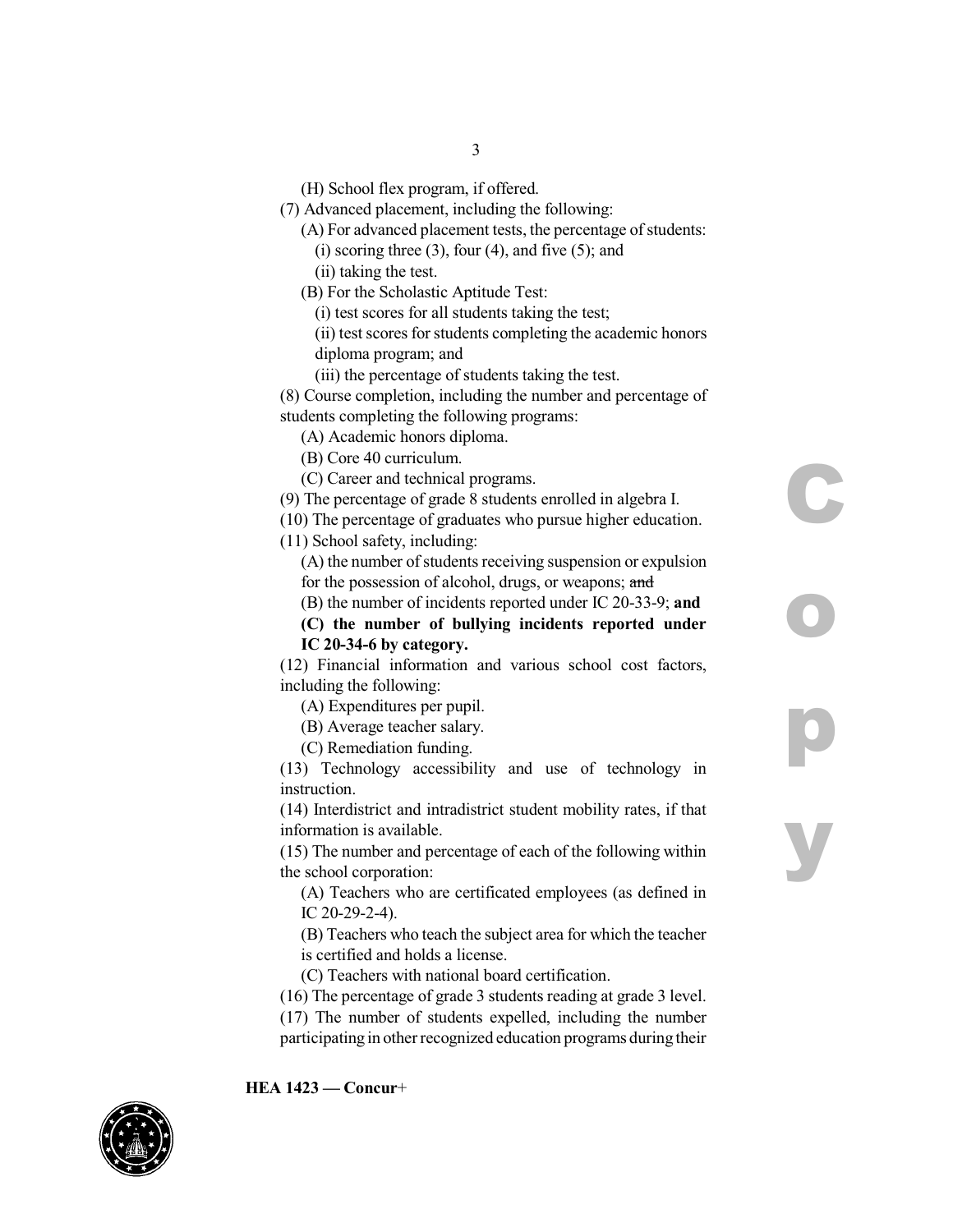(H) School flex program, if offered.

(7) Advanced placement, including the following:

3

(A) For advanced placement tests, the percentage of students:  $(i)$  scoring three  $(3)$ , four  $(4)$ , and five  $(5)$ ; and

(ii) taking the test.

- (B) For the Scholastic Aptitude Test:
	- (i) test scores for all students taking the test;
	- (ii) test scores for students completing the academic honors diploma program; and
	- (iii) the percentage of students taking the test.

(8) Course completion, including the number and percentage of students completing the following programs:

(A) Academic honors diploma.

(B) Core 40 curriculum.

(C) Career and technical programs.

(9) The percentage of grade 8 students enrolled in algebra I.

(10) The percentage of graduates who pursue higher education.

(11) School safety, including:

(A) the number of students receiving suspension or expulsion for the possession of alcohol, drugs, or weapons; and

**C**

**o**

**p**

**y**

(B) the number of incidents reported under IC 20-33-9; **and**

**(C) the number of bullying incidents reported under IC 20-34-6 by category.**

(12) Financial information and various school cost factors, including the following:

(A) Expenditures per pupil.

(B) Average teacher salary.

(C) Remediation funding.

(13) Technology accessibility and use of technology in instruction.

(14) Interdistrict and intradistrict student mobility rates, if that information is available.

(15) The number and percentage of each of the following within the school corporation:

(A) Teachers who are certificated employees (as defined in IC 20-29-2-4).

(B) Teachers who teach the subject area for which the teacher is certified and holds a license.

(C) Teachers with national board certification.

- (16) The percentage of grade 3 students reading at grade 3 level.
- (17) The number of students expelled, including the number participating in other recognized education programs during their

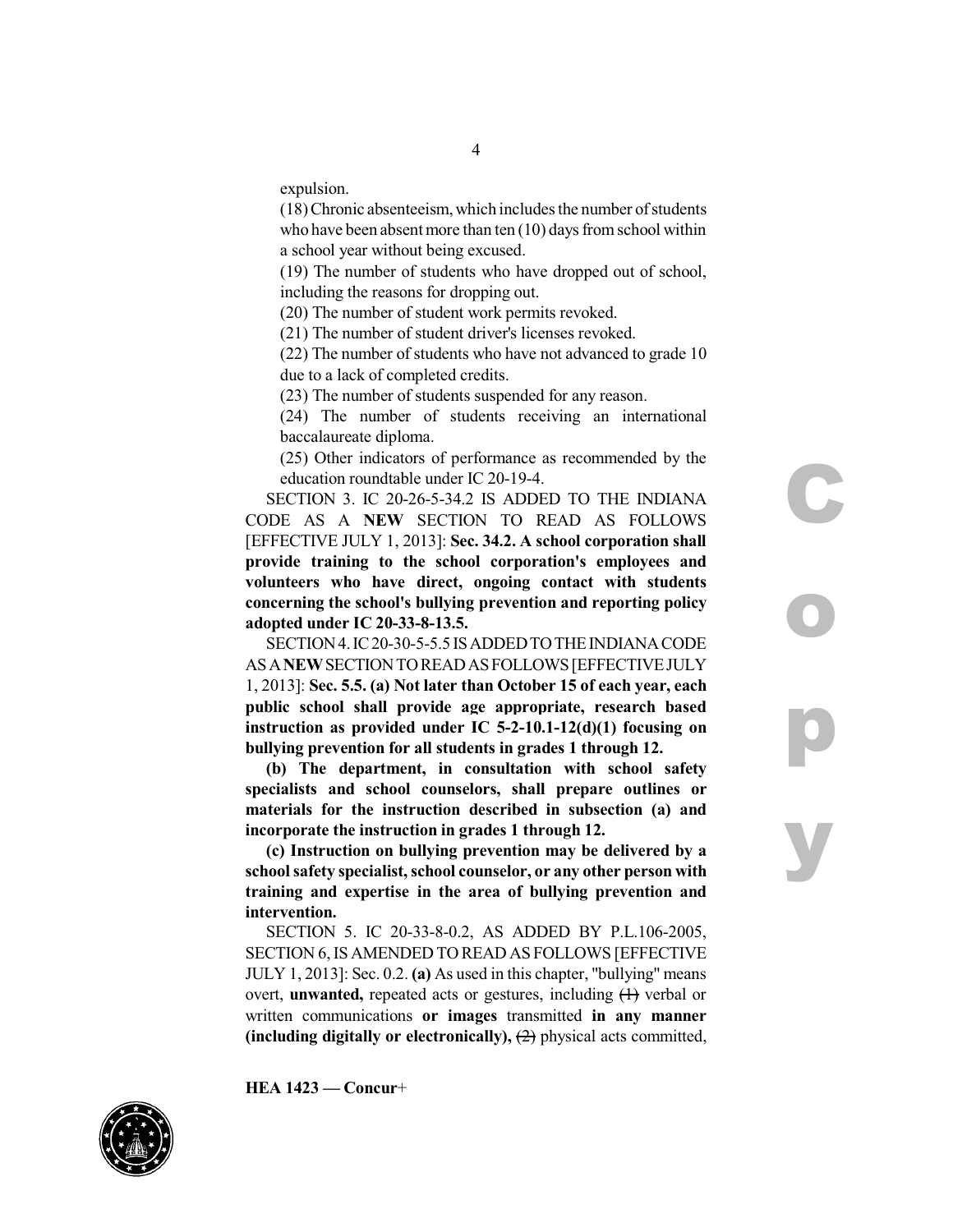expulsion.

(18)Chronic absenteeism,which includesthe number ofstudents who have been absent more than ten  $(10)$  days from school within a school year without being excused.

4

(19) The number of students who have dropped out of school, including the reasons for dropping out.

(20) The number of student work permits revoked.

(21) The number of student driver's licenses revoked.

(22) The number of students who have not advanced to grade 10 due to a lack of completed credits.

(23) The number of students suspended for any reason.

(24) The number of students receiving an international baccalaureate diploma.

(25) Other indicators of performance as recommended by the education roundtable under IC 20-19-4.

SECTION 3. IC 20-26-5-34.2 IS ADDED TO THE INDIANA CODE AS A **NEW** SECTION TO READ AS FOLLOWS [EFFECTIVE JULY 1, 2013]: **Sec. 34.2. A school corporation shall provide training to the school corporation's employees and volunteers who have direct, ongoing contact with students concerning the school's bullying prevention and reporting policy adopted under IC 20-33-8-13.5.**

SECTION4.IC20-30-5-5.5 ISADDEDTOTHEINDIANACODE ASA**NEW**SECTIONTOREADASFOLLOWS[EFFECTIVEJULY 1, 2013]: **Sec. 5.5. (a) Not later than October 15 of each year, each public school shall provide age appropriate, research based instruction as provided under IC 5-2-10.1-12(d)(1) focusing on bullying prevention for all students in grades 1 through 12.**

**(b) The department, in consultation with school safety specialists and school counselors, shall prepare outlines or materials for the instruction described in subsection (a) and incorporate the instruction in grades 1 through 12.**

**(c) Instruction on bullying prevention may be delivered by a school safety specialist,school counselor, or any other person with training and expertise in the area of bullying prevention and intervention.**

SECTION 5. IC 20-33-8-0.2, AS ADDED BY P.L.106-2005, SECTION 6,IS AMENDED TO READ AS FOLLOWS [EFFECTIVE JULY 1, 2013]: Sec. 0.2. **(a)** As used in this chapter, "bullying" means overt, **unwanted**, repeated acts or gestures, including  $(1)$  verbal or written communications **or images** transmitted **in any manner (including digitally or electronically),** (2) physical acts committed,

**C o p y**

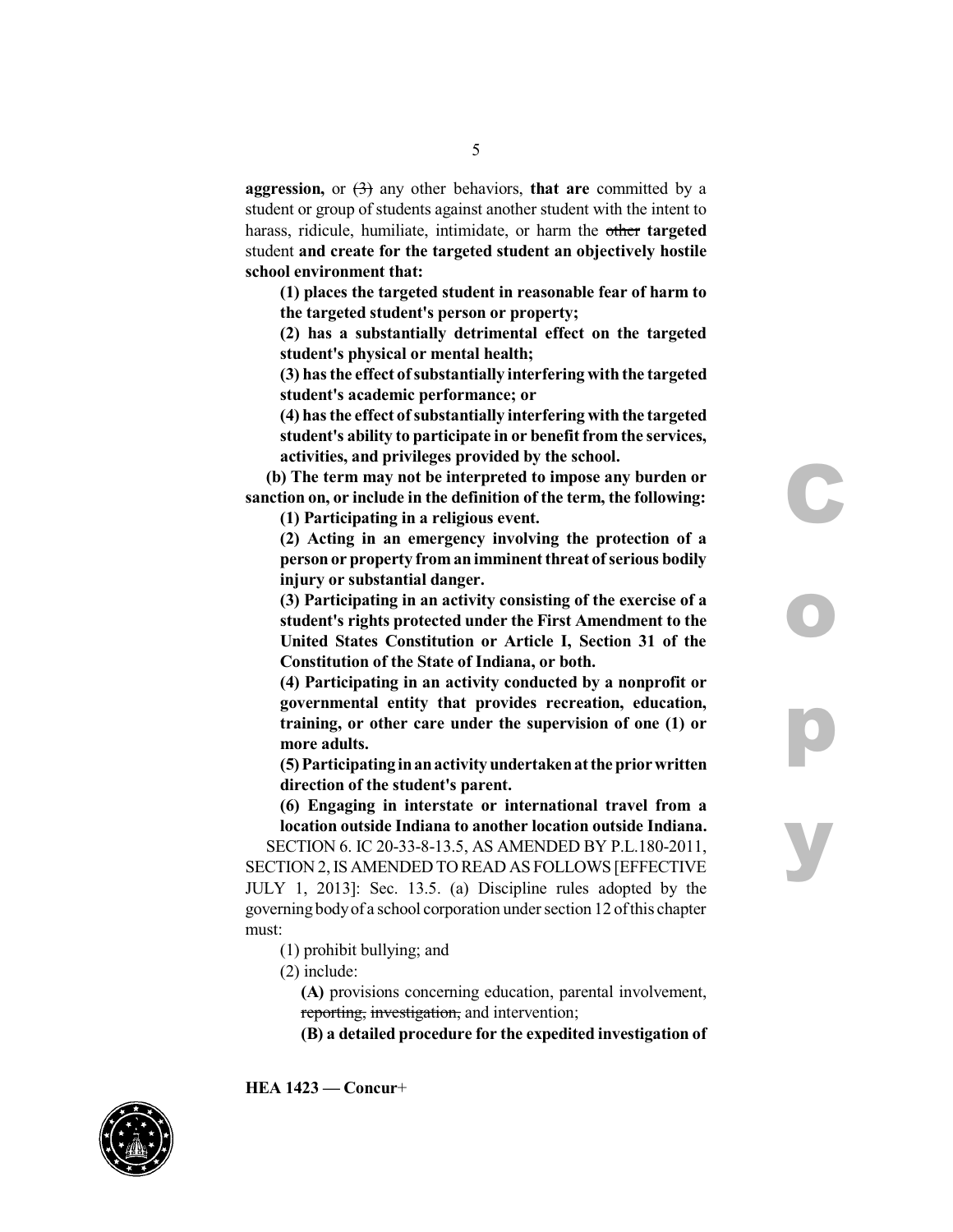**aggression,** or  $\left(\frac{1}{2}\right)$  any other behaviors, **that are** committed by a student or group of students against another student with the intent to harass, ridicule, humiliate, intimidate, or harm the other **targeted** student **and create for the targeted student an objectively hostile school environment that:**

**(1) places the targeted student in reasonable fear of harm to the targeted student's person or property;**

**(2) has a substantially detrimental effect on the targeted student's physical or mental health;**

**(3) hasthe effect ofsubstantially interfering with the targeted student's academic performance; or**

**(4) hasthe effect ofsubstantially interfering with the targeted student's ability to participate in or benefit from the services, activities, and privileges provided by the school.**

**(b) The term may not be interpreted to impose any burden or sanction on, or include in the definition of the term, the following:**

**(1) Participating in a religious event.**

**(2) Acting in an emergency involving the protection of a personor property froman imminent threat ofserious bodily injury or substantial danger.**

**(3) Participating in an activity consisting of the exercise of a student's rights protected under the First Amendment to the United States Constitution or Article I, Section 31 of the Constitution of the State of Indiana, or both.**

**(4) Participating in an activity conducted by a nonprofit or governmental entity that provides recreation, education, training, or other care under the supervision of one (1) or more adults.**

**(5)Participating inanactivityundertakenatthe priorwritten direction of the student's parent.**

**(6) Engaging in interstate or international travel from a location outside Indiana to another location outside Indiana.**

SECTION 6. IC 20-33-8-13.5, AS AMENDED BY P.L.180-2011, SECTION 2,IS AMENDED TO READ AS FOLLOWS [EFFECTIVE JULY 1, 2013]: Sec. 13.5. (a) Discipline rules adopted by the governing bodyof a school corporation under section 12 ofthis chapter must:

- (1) prohibit bullying; and
- (2) include:

**(A)** provisions concerning education, parental involvement, reporting, investigation, and intervention;

**(B) a detailed procedure for the expedited investigation of**

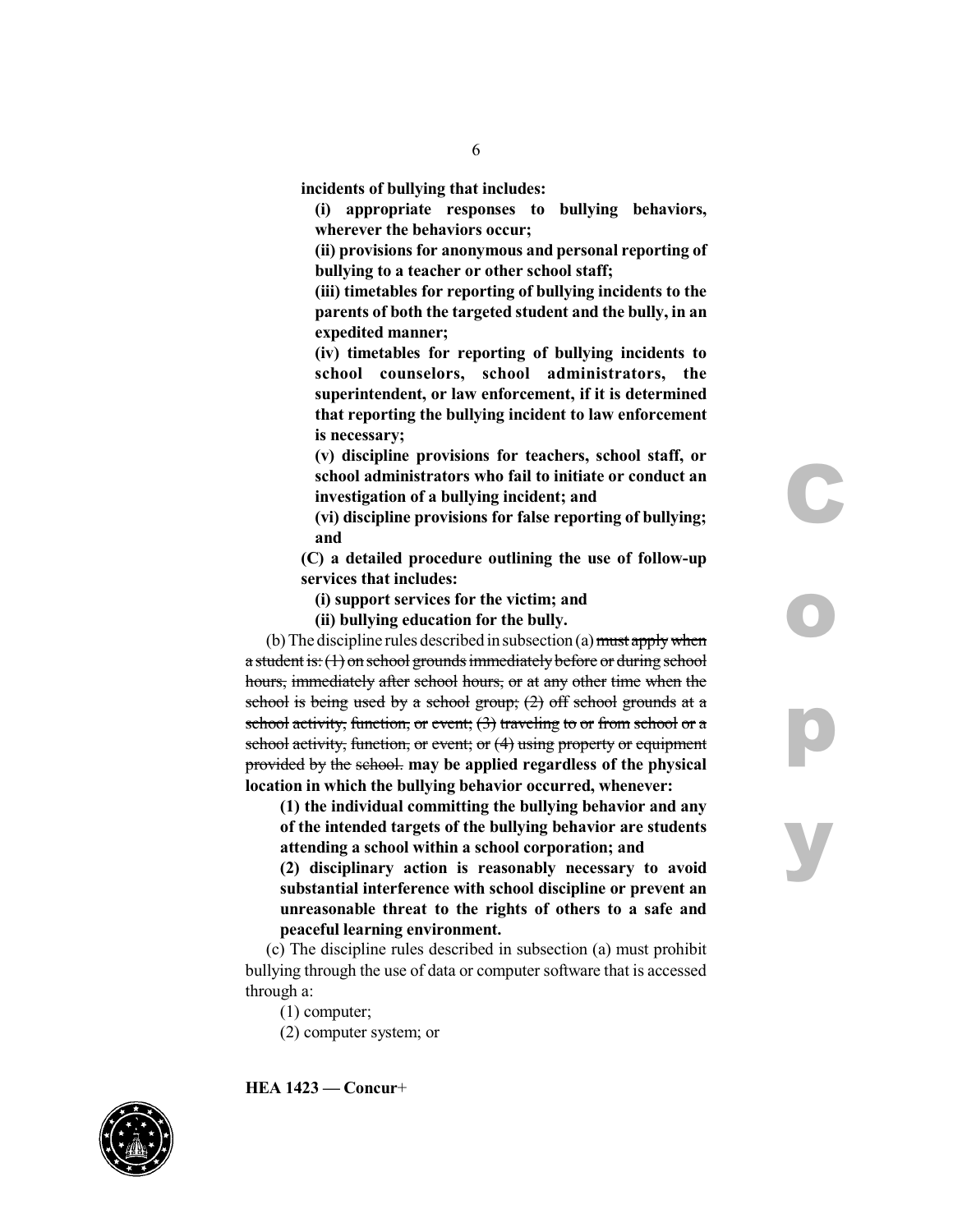**incidents of bullying that includes:**

**(i) appropriate responses to bullying behaviors, wherever the behaviors occur;**

**(ii) provisions for anonymous and personal reporting of bullying to a teacher or other school staff;**

**(iii) timetables for reporting of bullying incidents to the parents of both the targeted student and the bully, in an expedited manner;**

**(iv) timetables for reporting of bullying incidents to school counselors, school administrators, the superintendent, or law enforcement, if it is determined that reporting the bullying incident to law enforcement is necessary;**

**(v) discipline provisions for teachers, school staff, or school administrators who fail to initiate or conduct an investigation of a bullying incident; and**

**(vi) discipline provisions for false reporting of bullying; and**

**(C) a detailed procedure outlining the use of follow-up services that includes:**

**(i) support services for the victim; and**

**(ii) bullying education for the bully.**

(b) The discipline rules described in subsection (a) must apply when a student is:  $(1)$  on school grounds immediately before or during school hours, immediately after school hours, or at any other time when the school is being used by a school group;  $(2)$  off school grounds at a school activity, function, or event;  $(3)$  traveling to or from school or a school activity, function, or event; or (4) using property or equipment provided by the school. **may be applied regardless of the physical location in which the bullying behavior occurred, whenever:**

**(1) the individual committing the bullying behavior and any of the intended targets of the bullying behavior are students attending a school within a school corporation; and**

**(2) disciplinary action is reasonably necessary to avoid substantial interference with school discipline or prevent an unreasonable threat to the rights of others to a safe and peaceful learning environment.**

(c) The discipline rules described in subsection (a) must prohibit bullying through the use of data or computer software that is accessed through a:

(1) computer;

(2) computer system; or



**HEA 1423 — Concur**+

**C**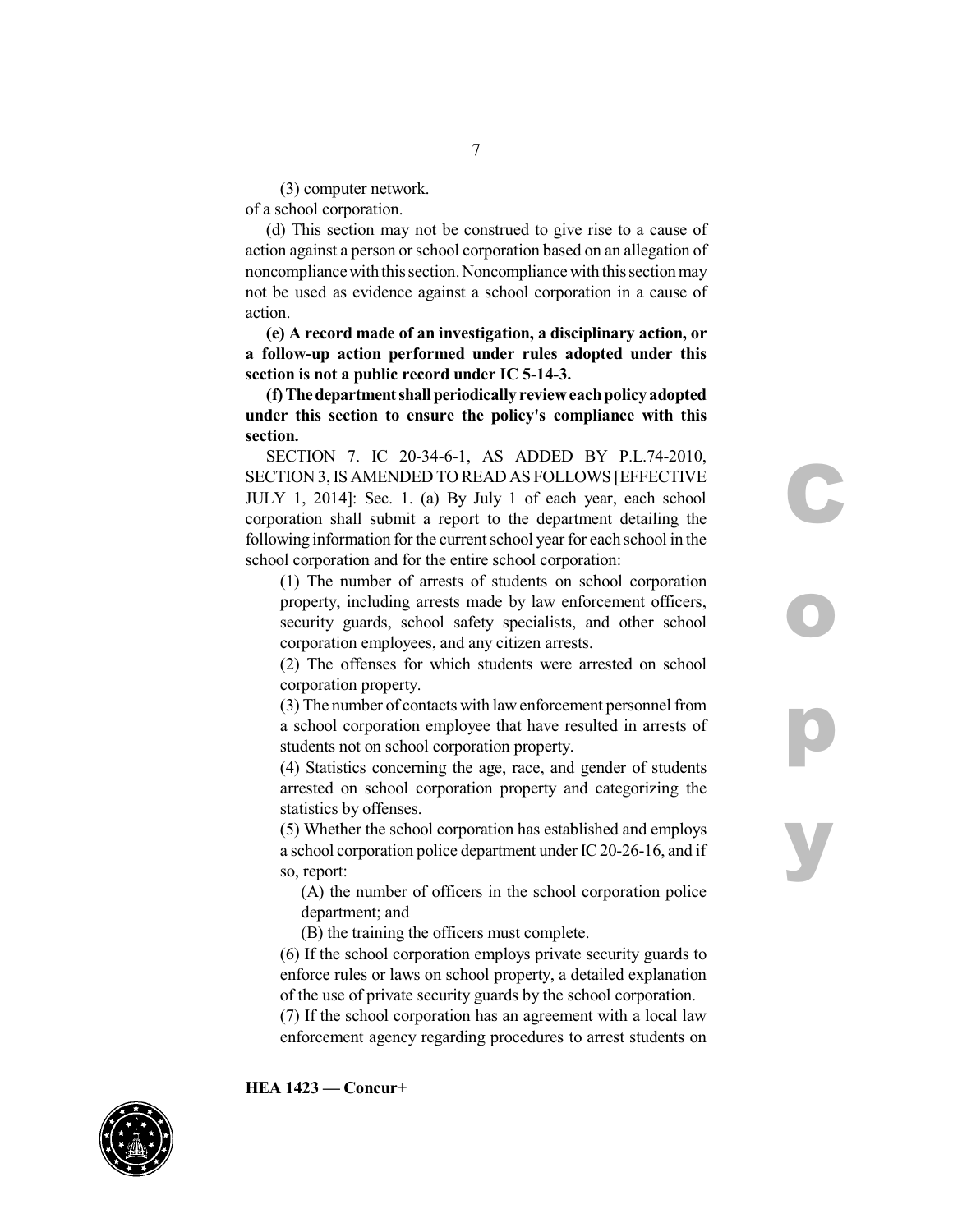(3) computer network. of a school corporation.

(d) This section may not be construed to give rise to a cause of action against a person or school corporation based on an allegation of noncompliance with this section. Noncompliance with this section may not be used as evidence against a school corporation in a cause of action.

**(e) A record made of an investigation, a disciplinary action, or a follow-up action performed under rules adopted under this section is not a public record under IC 5-14-3.**

**(f) Thedepartmentshallperiodically revieweachpolicy adopted under this section to ensure the policy's compliance with this section.**

SECTION 7. IC 20-34-6-1, AS ADDED BY P.L.74-2010, SECTION 3,IS AMENDED TO READ AS FOLLOWS [EFFECTIVE JULY 1, 2014]: Sec. 1. (a) By July 1 of each year, each school corporation shall submit a report to the department detailing the following information for the current school year for each school in the school corporation and for the entire school corporation:

**C**

**o**

**p**

**y**

(1) The number of arrests of students on school corporation property, including arrests made by law enforcement officers, security guards, school safety specialists, and other school corporation employees, and any citizen arrests.

(2) The offenses for which students were arrested on school corporation property.

(3) The number of contacts with lawenforcement personnel from a school corporation employee that have resulted in arrests of students not on school corporation property.

(4) Statistics concerning the age, race, and gender of students arrested on school corporation property and categorizing the statistics by offenses.

(5) Whether the school corporation has established and employs a school corporation police department under IC20-26-16, and if so, report:

(A) the number of officers in the school corporation police department; and

(B) the training the officers must complete.

(6) If the school corporation employs private security guards to enforce rules or laws on school property, a detailed explanation of the use of private security guards by the school corporation.

(7) If the school corporation has an agreement with a local law enforcement agency regarding procedures to arrest students on

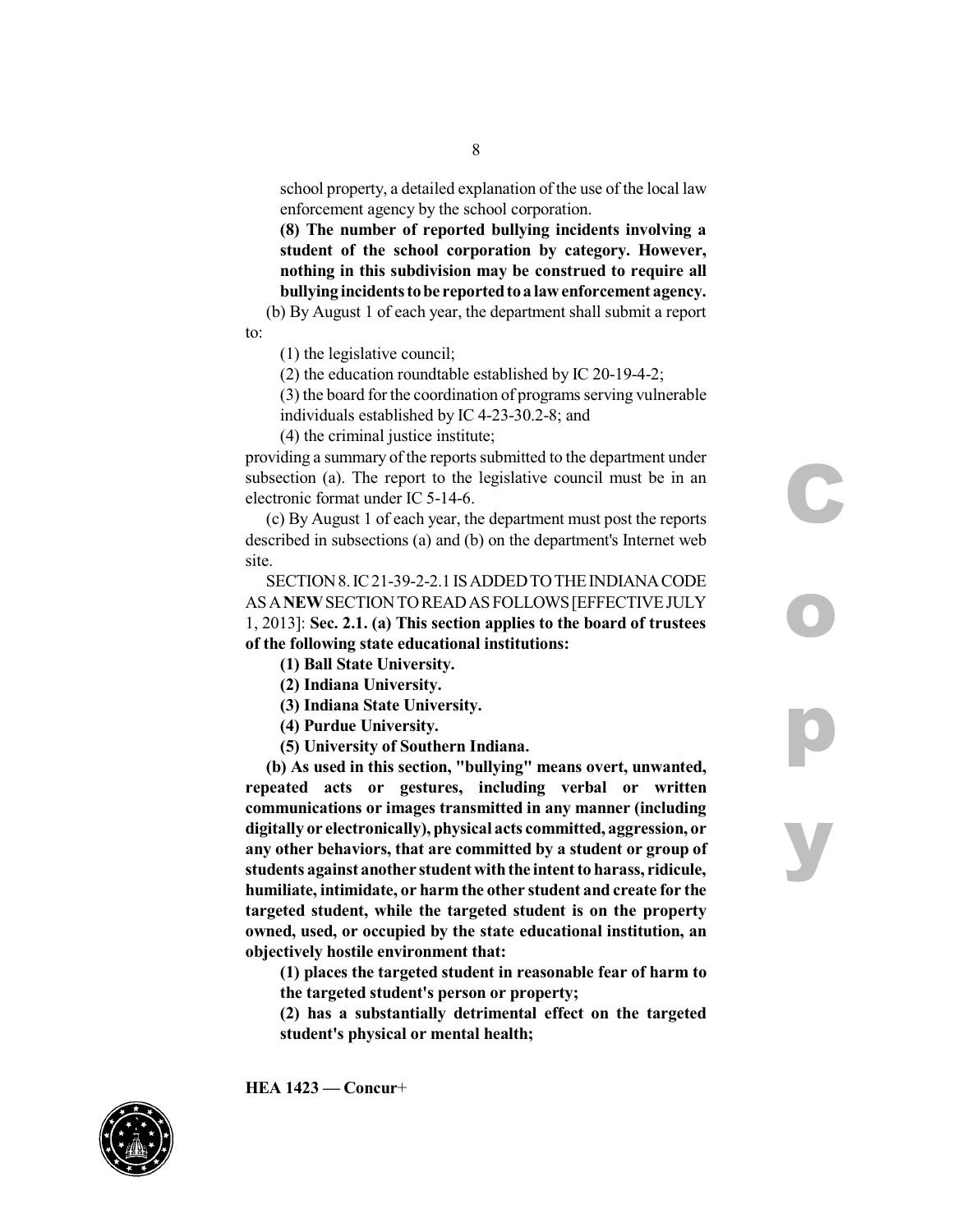school property, a detailed explanation of the use of the local law enforcement agency by the school corporation.

**(8) The number of reported bullying incidents involving a student of the school corporation by category. However, nothing in this subdivision may be construed to require all bullying incidentstobe reportedtoa lawenforcement agency.**

(b) By August 1 of each year, the department shall submit a report to:

(1) the legislative council;

(2) the education roundtable established by IC 20-19-4-2;

(3) the board for the coordination of programs serving vulnerable individuals established by IC 4-23-30.2-8; and

**C**

**o**

**p**

**y**

(4) the criminal justice institute;

providing a summary of the reports submitted to the department under subsection (a). The report to the legislative council must be in an electronic format under IC 5-14-6.

(c) By August 1 of each year, the department must post the reports described in subsections (a) and (b) on the department's Internet web site.

SECTION 8. IC 21-39-2-2.1 IS ADDED TO THE INDIANA CODE ASA**NEW**SECTIONTOREADASFOLLOWS[EFFECTIVEJULY 1, 2013]: **Sec. 2.1. (a) This section applies to the board of trustees of the following state educational institutions:**

**(1) Ball State University.**

**(2) Indiana University.**

**(3) Indiana State University.**

**(4) Purdue University.**

**(5) University of Southern Indiana.**

**(b) As used in this section, "bullying" means overt, unwanted, repeated acts or gestures, including verbal or written communications or images transmitted in any manner (including digitally or electronically),physical acts committed, aggression, or any other behaviors, that are committed by a student or group of students against another student withthe intent to harass, ridicule, humiliate, intimidate, or harm the other student and create for the targeted student, while the targeted student is on the property owned, used, or occupied by the state educational institution, an objectively hostile environment that:**

**(1) places the targeted student in reasonable fear of harm to the targeted student's person or property;**

**(2) has a substantially detrimental effect on the targeted student's physical or mental health;**

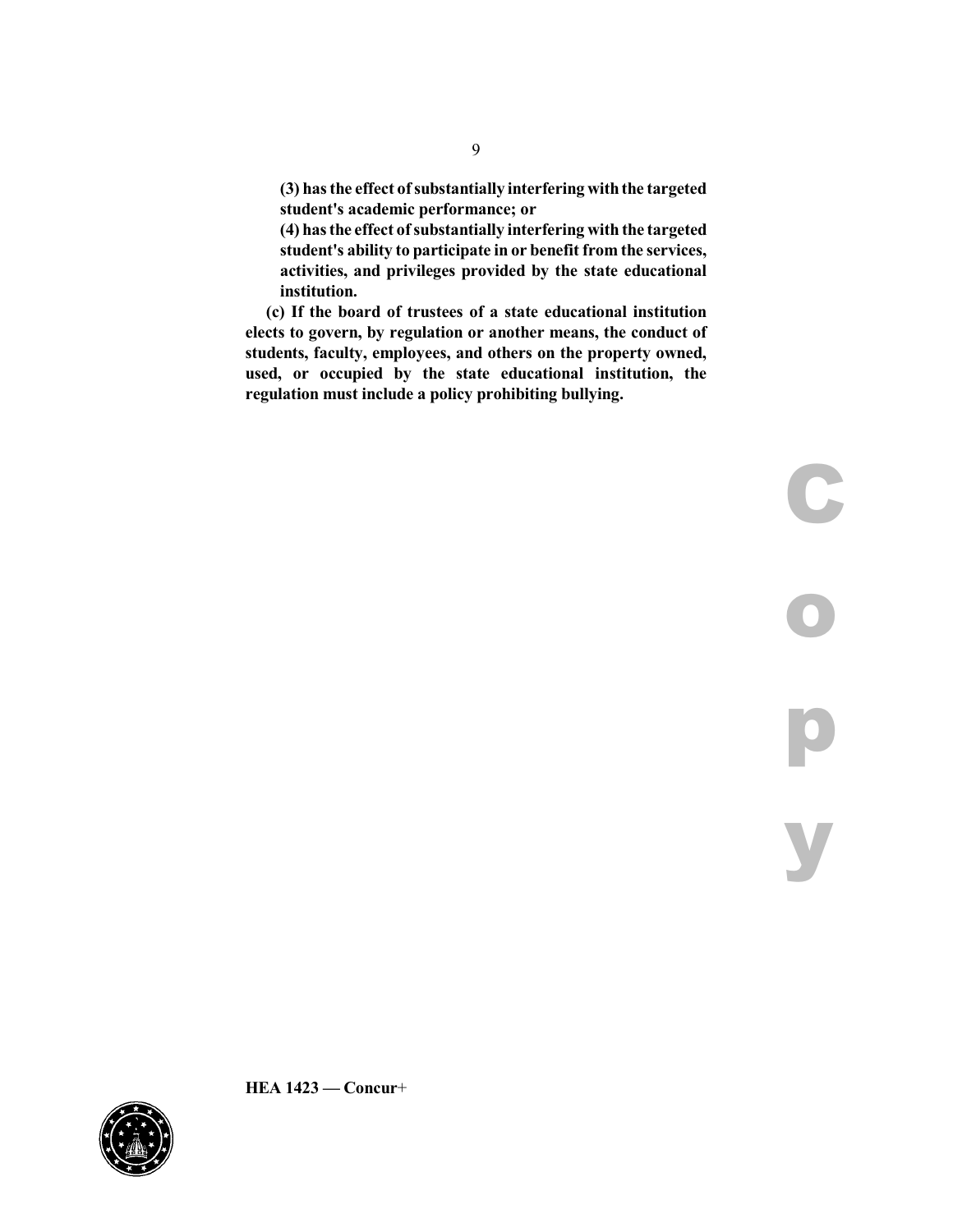**(3) hasthe effect ofsubstantially interfering withthe targeted student's academic performance; or**

**(4) hasthe effect ofsubstantially interfering with the targeted student's ability to participate in or benefit from the services, activities, and privileges provided by the state educational institution.**

**(c) If the board of trustees of a state educational institution elects to govern, by regulation or another means, the conduct of students, faculty, employees, and others on the property owned, used, or occupied by the state educational institution, the regulation must include a policy prohibiting bullying.**